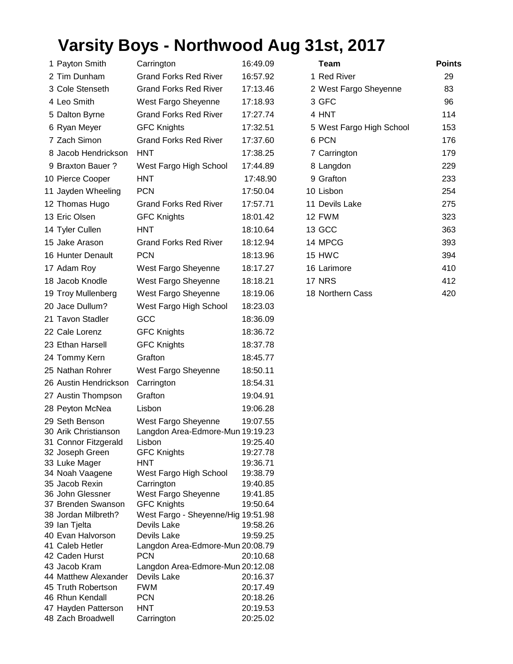## **Varsity Boys - Northwood Aug 31st, 2017**

| 1 Payton Smith                    | Carrington                                     | 16:49.09             | <b>Team</b>              | <b>Points</b> |
|-----------------------------------|------------------------------------------------|----------------------|--------------------------|---------------|
| 2 Tim Dunham                      | <b>Grand Forks Red River</b>                   | 16:57.92             | 1 Red River              | 29            |
| 3 Cole Stenseth                   | <b>Grand Forks Red River</b>                   | 17:13.46             | 2 West Fargo Sheyenne    | 83            |
| 4 Leo Smith                       | West Fargo Sheyenne                            | 17:18.93             | 3 GFC                    | 96            |
| 5 Dalton Byrne                    | <b>Grand Forks Red River</b>                   | 17:27.74             | 4 HNT                    | 114           |
| 6 Ryan Meyer                      | <b>GFC Knights</b>                             | 17:32.51             | 5 West Fargo High School | 153           |
| 7 Zach Simon                      | <b>Grand Forks Red River</b>                   | 17:37.60             | 6 PCN                    | 176           |
| 8 Jacob Hendrickson               | <b>HNT</b>                                     | 17:38.25             | 7 Carrington             | 179           |
| 9 Braxton Bauer?                  |                                                |                      |                          |               |
|                                   | West Fargo High School                         | 17:44.89             | 8 Langdon                | 229           |
| 10 Pierce Cooper                  | <b>HNT</b>                                     | 17:48.90             | 9 Grafton                | 233           |
| 11 Jayden Wheeling                | <b>PCN</b>                                     | 17:50.04             | 10 Lisbon                | 254           |
| 12 Thomas Hugo                    | <b>Grand Forks Red River</b>                   | 17:57.71             | 11 Devils Lake           | 275           |
| 13 Eric Olsen                     | <b>GFC Knights</b>                             | 18:01.42             | 12 FWM                   | 323           |
| 14 Tyler Cullen                   | <b>HNT</b>                                     | 18:10.64             | 13 GCC                   | 363           |
| 15 Jake Arason                    | <b>Grand Forks Red River</b>                   | 18:12.94             | 14 MPCG                  | 393           |
| 16 Hunter Denault                 | <b>PCN</b>                                     | 18:13.96             | 15 HWC                   | 394           |
| 17 Adam Roy                       | West Fargo Sheyenne                            | 18:17.27             | 16 Larimore              | 410           |
| 18 Jacob Knodle                   | West Fargo Sheyenne                            | 18:18.21             | 17 NRS                   | 412           |
| 19 Troy Mullenberg                | West Fargo Sheyenne                            | 18:19.06             | 18 Northern Cass         | 420           |
| 20 Jace Dullum?                   | West Fargo High School                         | 18:23.03             |                          |               |
| 21 Tavon Stadler                  | GCC                                            | 18:36.09             |                          |               |
|                                   |                                                |                      |                          |               |
| 22 Cale Lorenz                    | <b>GFC Knights</b>                             | 18:36.72             |                          |               |
| 23 Ethan Harsell                  | <b>GFC Knights</b>                             | 18:37.78             |                          |               |
| 24 Tommy Kern                     | Grafton                                        | 18:45.77             |                          |               |
| 25 Nathan Rohrer                  | West Fargo Sheyenne                            | 18:50.11             |                          |               |
| 26 Austin Hendrickson             | Carrington                                     | 18:54.31             |                          |               |
| 27 Austin Thompson                | Grafton                                        | 19:04.91             |                          |               |
| 28 Peyton McNea                   | Lisbon                                         | 19:06.28             |                          |               |
| 29 Seth Benson                    | West Fargo Sheyenne                            | 19:07.55             |                          |               |
| 30 Arik Christianson              | Langdon Area-Edmore-Mun 19:19.23               |                      |                          |               |
| 31 Connor Fitzgerald              | Lisbon                                         | 19:25.40             |                          |               |
| 32 Joseph Green                   | <b>GFC Knights</b>                             | 19:27.78             |                          |               |
| 33 Luke Mager<br>34 Noah Vaagene  | HNT<br>West Fargo High School                  | 19:36.71<br>19:38.79 |                          |               |
| 35 Jacob Rexin                    | Carrington                                     | 19:40.85             |                          |               |
| 36 John Glessner                  | West Fargo Sheyenne                            | 19:41.85             |                          |               |
| 37 Brenden Swanson                | <b>GFC Knights</b>                             | 19:50.64             |                          |               |
| 38 Jordan Milbreth?               | West Fargo - Sheyenne/Hig 19:51.98             |                      |                          |               |
| 39 Ian Tjelta                     | Devils Lake                                    | 19:58.26             |                          |               |
| 40 Evan Halvorson                 | Devils Lake                                    | 19:59.25             |                          |               |
| 41 Caleb Hetler<br>42 Caden Hurst | Langdon Area-Edmore-Mun 20:08.79<br><b>PCN</b> |                      |                          |               |
| 43 Jacob Kram                     | Langdon Area-Edmore-Mun 20:12.08               | 20:10.68             |                          |               |
| 44 Matthew Alexander              | Devils Lake                                    | 20:16.37             |                          |               |
| 45 Truth Robertson                | <b>FWM</b>                                     | 20:17.49             |                          |               |
| 46 Rhun Kendall                   | <b>PCN</b>                                     | 20:18.26             |                          |               |
| 47 Hayden Patterson               | <b>HNT</b>                                     | 20:19.53             |                          |               |
| 48 Zach Broadwell                 | Carrington                                     | 20:25.02             |                          |               |